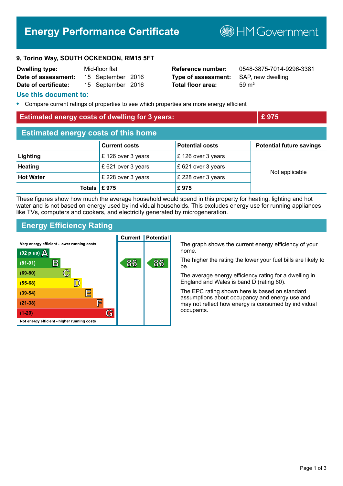# **Energy Performance Certificate**

**B**HMGovernment

#### **9, Torino Way, SOUTH OCKENDON, RM15 5FT**

| <b>Dwelling type:</b> | Mid-floor flat |                   |  |
|-----------------------|----------------|-------------------|--|
| Date of assessment:   |                | 15 September 2016 |  |
| Date of certificate:  |                | 15 September 2016 |  |

**Type of assessment:** SAP, new dwelling **Total floor area:** 59 m<sup>2</sup>

**Reference number:** 0548-3875-7014-9296-3381

#### **Use this document to:**

**•** Compare current ratings of properties to see which properties are more energy efficient

### **Estimated energy costs of dwelling for 3 years: £ 975**

| <b>Estimated energy costs of this home</b> |                      |                        |                                 |  |
|--------------------------------------------|----------------------|------------------------|---------------------------------|--|
|                                            | <b>Current costs</b> | <b>Potential costs</b> | <b>Potential future savings</b> |  |
| Lighting                                   | £126 over 3 years    | £126 over 3 years      | Not applicable                  |  |
| <b>Heating</b>                             | £ 621 over 3 years   | £ 621 over 3 years     |                                 |  |
| <b>Hot Water</b>                           | £ 228 over 3 years   | £ 228 over 3 years     |                                 |  |
| Totals $\mathsf{E}$ 975                    |                      | £975                   |                                 |  |

These figures show how much the average household would spend in this property for heating, lighting and hot water and is not based on energy used by individual households. This excludes energy use for running appliances like TVs, computers and cookers, and electricity generated by microgeneration.

# **Energy Efficiency Rating**



The graph shows the current energy efficiency of your home.

The higher the rating the lower your fuel bills are likely to be.

The average energy efficiency rating for a dwelling in England and Wales is band D (rating 60).

The EPC rating shown here is based on standard assumptions about occupancy and energy use and may not reflect how energy is consumed by individual occupants.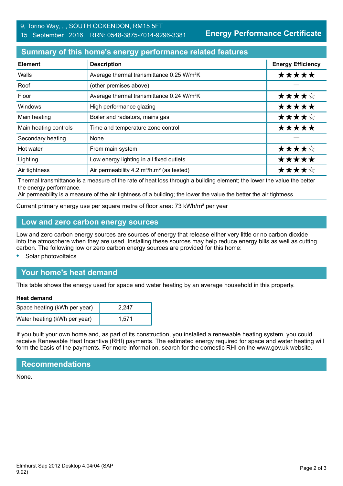**Energy Performance Certificate**

# **Summary of this home's energy performance related features**

| <b>Element</b>        | <b>Description</b>                                                | <b>Energy Efficiency</b> |
|-----------------------|-------------------------------------------------------------------|--------------------------|
| Walls                 | Average thermal transmittance 0.25 W/m <sup>2</sup> K             | *****                    |
| Roof                  | (other premises above)                                            |                          |
| Floor                 | Average thermal transmittance 0.24 W/m <sup>2</sup> K             | ★★★★☆                    |
| Windows               | High performance glazing                                          | *****                    |
| Main heating          | Boiler and radiators, mains gas                                   | ★★★★☆                    |
| Main heating controls | Time and temperature zone control                                 | *****                    |
| Secondary heating     | None                                                              |                          |
| Hot water             | From main system                                                  | ★★★★☆                    |
| Lighting              | Low energy lighting in all fixed outlets                          | *****                    |
| Air tightness         | Air permeability 4.2 m <sup>3</sup> /h.m <sup>2</sup> (as tested) | ★★★★☆                    |

Thermal transmittance is a measure of the rate of heat loss through a building element; the lower the value the better the energy performance.

Air permeability is a measure of the air tightness of a building; the lower the value the better the air tightness.

Current primary energy use per square metre of floor area: 73 kWh/m² per year

## **Low and zero carbon energy sources**

Low and zero carbon energy sources are sources of energy that release either very little or no carbon dioxide into the atmosphere when they are used. Installing these sources may help reduce energy bills as well as cutting carbon. The following low or zero carbon energy sources are provided for this home:

**•** Solar photovoltaics

# **Your home's heat demand**

This table shows the energy used for space and water heating by an average household in this property.

#### **Heat demand**

| Space heating (kWh per year) | 2.247 |
|------------------------------|-------|
| Water heating (kWh per year) | 1.571 |

If you built your own home and, as part of its construction, you installed a renewable heating system, you could receive Renewable Heat Incentive (RHI) payments. The estimated energy required for space and water heating will form the basis of the payments. For more information, search for the domestic RHI on the www.gov.uk website.

### **Recommendations**

None.